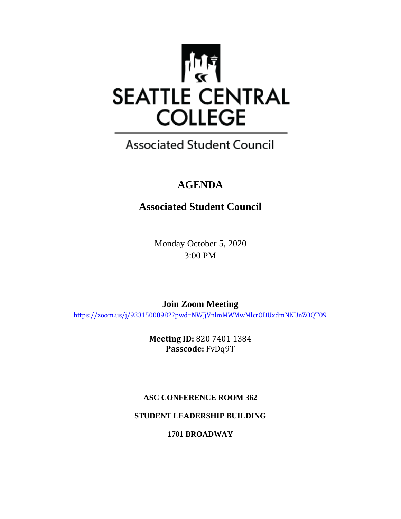

## **Associated Student Council**

## **AGENDA**

## **Associated Student Council**

Monday October 5, 2020 3:00 PM

**Join Zoom Meeting** <https://zoom.us/j/93315008982?pwd=NWJjVnlmMWMwMlcrODUxdmNNUnZOQT09>

> **Meeting ID:** 820 7401 1384 **Passcode:** FvDq9T

#### **ASC CONFERENCE ROOM 362**

**STUDENT LEADERSHIP BUILDING**

**1701 BROADWAY**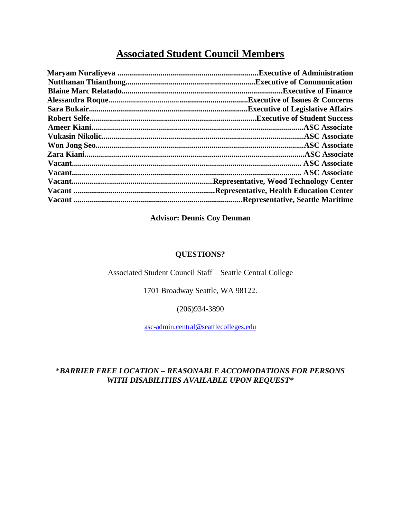### **Associated Student Council Members**

| <b>Executive of Finance</b>                     |
|-------------------------------------------------|
| Executive of Issues & Concerns.                 |
| <b>Executive of Legislative Affairs.</b>        |
|                                                 |
|                                                 |
|                                                 |
|                                                 |
|                                                 |
|                                                 |
|                                                 |
| Representative, Wood Technology Center.         |
| <b>Representative, Health Education Center.</b> |
| <b>Representative, Seattle Maritime</b>         |
|                                                 |

#### **Advisor: Dennis Coy Denman**

#### **QUESTIONS?**

#### Associated Student Council Staff – Seattle Central College

1701 Broadway Seattle, WA 98122.

(206)934-3890

[asc-admin.central@seattlecolleges.edu](mailto:asc-admin.central@seattlecolleges.edu)

#### \**BARRIER FREE LOCATION – REASONABLE ACCOMODATIONS FOR PERSONS WITH DISABILITIES AVAILABLE UPON REQUEST\**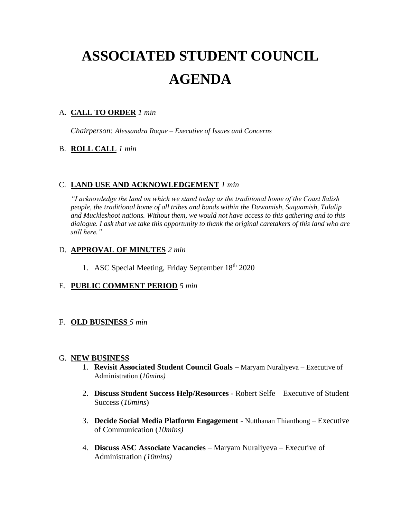# **ASSOCIATED STUDENT COUNCIL AGENDA**

#### A. **CALL TO ORDER** *1 min*

*Chairperson: Alessandra Roque – Executive of Issues and Concerns*

#### B. **ROLL CALL** *1 min*

#### C. **LAND USE AND ACKNOWLEDGEMENT** *1 min*

*"I acknowledge the land on which we stand today as the traditional home of the Coast Salish people, the traditional home of all tribes and bands within the Duwamish, Suquamish, Tulalip and Muckleshoot nations. Without them, we would not have access to this gathering and to this dialogue. I ask that we take this opportunity to thank the original caretakers of this land who are still here."* 

#### D. **APPROVAL OF MINUTES** *2 min*

1. ASC Special Meeting, Friday September 18th 2020

#### E. **PUBLIC COMMENT PERIOD** *5 min*

#### F. **OLD BUSINESS** *5 min*

#### G. **NEW BUSINESS**

- 1. **Revisit Associated Student Council Goals** Maryam Nuraliyeva Executive of Administration (*10mins)*
- 2. **Discuss Student Success Help/Resources** Robert Selfe Executive of Student Success (*10mins*)
- 3. **Decide Social Media Platform Engagement** Nutthanan Thianthong Executive of Communication (*10mins)*
- 4. **Discuss ASC Associate Vacancies**  Maryam Nuraliyeva Executive of Administration *(10mins)*